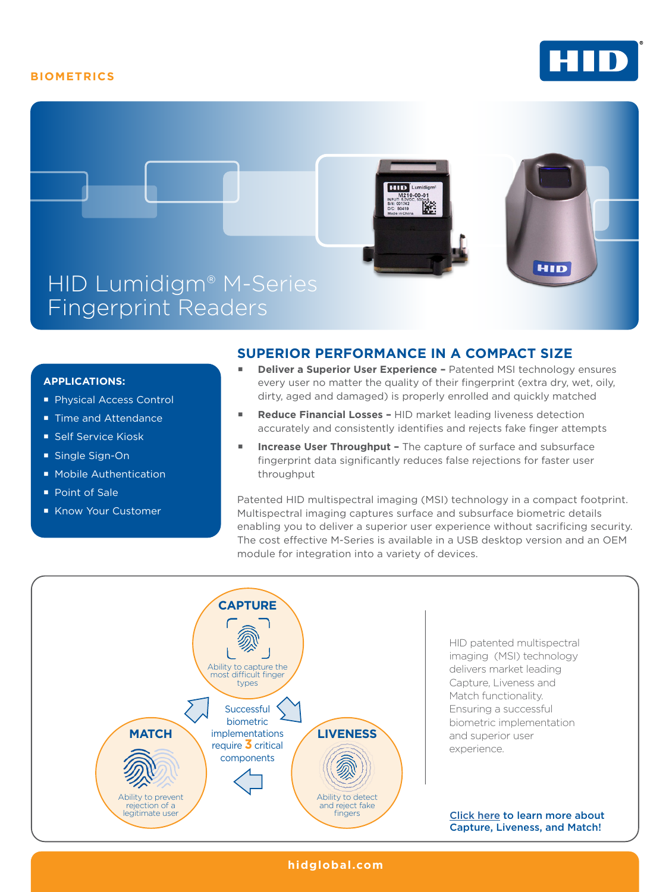## **BIOMETRICS**





## **APPLICATIONS:**

- **Physical Access Control**
- Time and Attendance
- **Self Service Kiosk**
- Single Sign-On
- **Mobile Authentication**
- Point of Sale
- Know Your Customer

## **SUPERIOR PERFORMANCE IN A COMPACT SIZE**

- **Deliver a Superior User Experience** Patented MSI technology ensures every user no matter the quality of their fingerprint (extra dry, wet, oily, dirty, aged and damaged) is properly enrolled and quickly matched
- **Reduce Financial Losses** HID market leading liveness detection accurately and consistently identifies and rejects fake finger attempts
- **Increase User Throughput The capture of surface and subsurface** fingerprint data significantly reduces false rejections for faster user throughput

Patented HID multispectral imaging (MSI) technology in a compact footprint. Multispectral imaging captures surface and subsurface biometric details enabling you to deliver a superior user experience without sacrificing security. The cost effective M-Series is available in a USB desktop version and an OEM module for integration into a variety of devices.



**hidglobal.com**